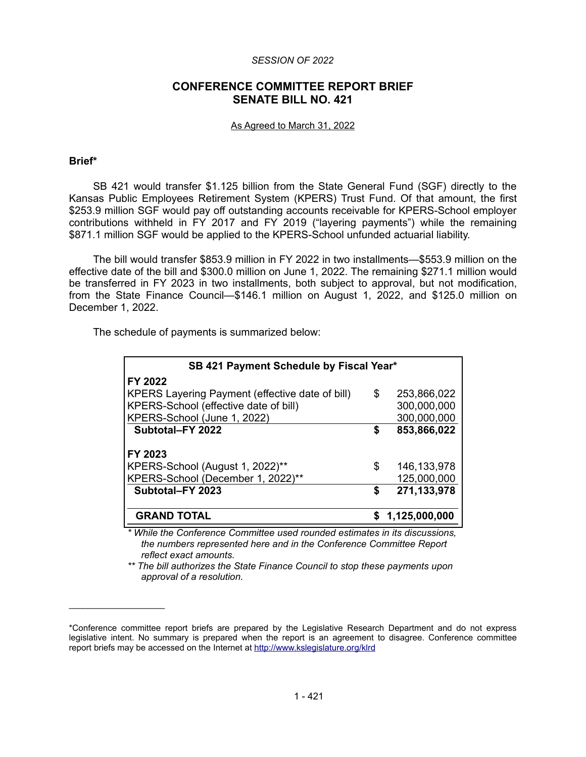#### *SESSION OF 2022*

# **CONFERENCE COMMITTEE REPORT BRIEF SENATE BILL NO. 421**

#### As Agreed to March 31, 2022

#### **Brief\***

 $\mathcal{L}=\{1,2,3,4,5\}$ 

SB 421 would transfer \$1.125 billion from the State General Fund (SGF) directly to the Kansas Public Employees Retirement System (KPERS) Trust Fund. Of that amount, the first \$253.9 million SGF would pay off outstanding accounts receivable for KPERS-School employer contributions withheld in FY 2017 and FY 2019 ("layering payments") while the remaining \$871.1 million SGF would be applied to the KPERS-School unfunded actuarial liability.

The bill would transfer \$853.9 million in FY 2022 in two installments—\$553.9 million on the effective date of the bill and \$300.0 million on June 1, 2022. The remaining \$271.1 million would be transferred in FY 2023 in two installments, both subject to approval, but not modification, from the State Finance Council—\$146.1 million on August 1, 2022, and \$125.0 million on December 1, 2022.

The schedule of payments is summarized below:

| SB 421 Payment Schedule by Fiscal Year*         |    |               |
|-------------------------------------------------|----|---------------|
| FY 2022                                         |    |               |
| KPERS Layering Payment (effective date of bill) | \$ | 253,866,022   |
| KPERS-School (effective date of bill)           |    | 300,000,000   |
| KPERS-School (June 1, 2022)                     |    | 300,000,000   |
| Subtotal-FY 2022                                | \$ | 853,866,022   |
| FY 2023                                         |    |               |
| KPERS-School (August 1, 2022)**                 | S  | 146, 133, 978 |
| KPERS-School (December 1, 2022)**               |    | 125,000,000   |
| Subtotal-FY 2023                                | S  | 271,133,978   |
| <b>GRAND TOTAL</b>                              |    | 1,125,000,000 |

*\* While the Conference Committee used rounded estimates in its discussions, the numbers represented here and in the Conference Committee Report reflect exact amounts.*

*\*\* The bill authorizes the State Finance Council to stop these payments upon approval of a resolution.*

<sup>\*</sup>Conference committee report briefs are prepared by the Legislative Research Department and do not express legislative intent. No summary is prepared when the report is an agreement to disagree. Conference committee report briefs may be accessed on the Internet at<http://www.kslegislature.org/klrd>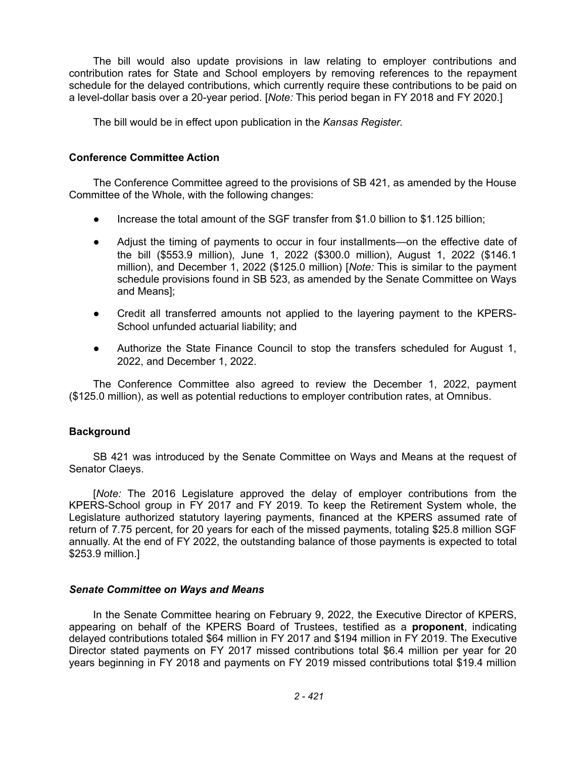The bill would also update provisions in law relating to employer contributions and contribution rates for State and School employers by removing references to the repayment schedule for the delayed contributions, which currently require these contributions to be paid on a level-dollar basis over a 20-year period. [*Note:* This period began in FY 2018 and FY 2020.]

The bill would be in effect upon publication in the *Kansas Register*.

### **Conference Committee Action**

The Conference Committee agreed to the provisions of SB 421, as amended by the House Committee of the Whole, with the following changes:

- Increase the total amount of the SGF transfer from \$1.0 billion to \$1.125 billion;
- Adjust the timing of payments to occur in four installments—on the effective date of the bill (\$553.9 million), June 1, 2022 (\$300.0 million), August 1, 2022 (\$146.1 million), and December 1, 2022 (\$125.0 million) [*Note:* This is similar to the payment schedule provisions found in SB 523, as amended by the Senate Committee on Ways and Means];
- Credit all transferred amounts not applied to the layering payment to the KPERS-School unfunded actuarial liability; and
- Authorize the State Finance Council to stop the transfers scheduled for August 1, 2022, and December 1, 2022.

The Conference Committee also agreed to review the December 1, 2022, payment (\$125.0 million), as well as potential reductions to employer contribution rates, at Omnibus.

# **Background**

SB 421 was introduced by the Senate Committee on Ways and Means at the request of Senator Claeys.

[*Note:* The 2016 Legislature approved the delay of employer contributions from the KPERS-School group in FY 2017 and FY 2019. To keep the Retirement System whole, the Legislature authorized statutory layering payments, financed at the KPERS assumed rate of return of 7.75 percent, for 20 years for each of the missed payments, totaling \$25.8 million SGF annually. At the end of FY 2022, the outstanding balance of those payments is expected to total \$253.9 million.]

#### *Senate Committee on Ways and Means*

In the Senate Committee hearing on February 9, 2022, the Executive Director of KPERS, appearing on behalf of the KPERS Board of Trustees, testified as a **proponent**, indicating delayed contributions totaled \$64 million in FY 2017 and \$194 million in FY 2019. The Executive Director stated payments on FY 2017 missed contributions total \$6.4 million per year for 20 years beginning in FY 2018 and payments on FY 2019 missed contributions total \$19.4 million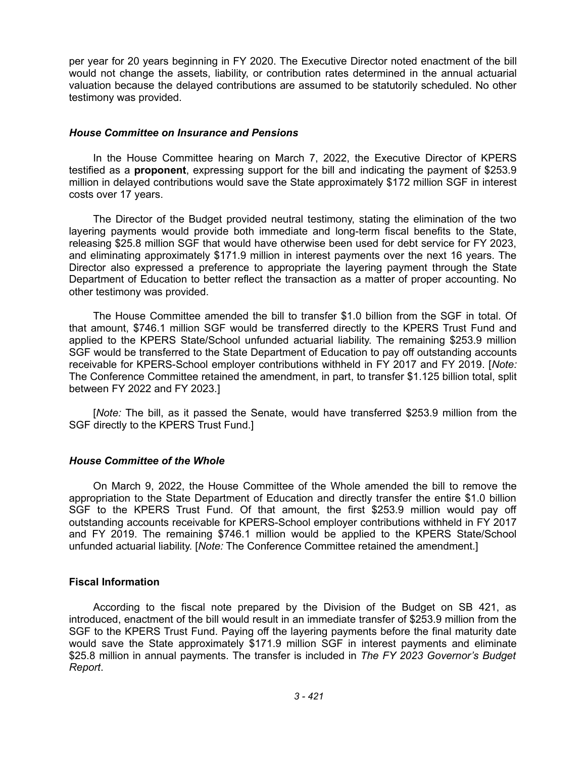per year for 20 years beginning in FY 2020. The Executive Director noted enactment of the bill would not change the assets, liability, or contribution rates determined in the annual actuarial valuation because the delayed contributions are assumed to be statutorily scheduled. No other testimony was provided.

#### *House Committee on Insurance and Pensions*

In the House Committee hearing on March 7, 2022, the Executive Director of KPERS testified as a **proponent**, expressing support for the bill and indicating the payment of \$253.9 million in delayed contributions would save the State approximately \$172 million SGF in interest costs over 17 years.

The Director of the Budget provided neutral testimony, stating the elimination of the two layering payments would provide both immediate and long-term fiscal benefits to the State, releasing \$25.8 million SGF that would have otherwise been used for debt service for FY 2023, and eliminating approximately \$171.9 million in interest payments over the next 16 years. The Director also expressed a preference to appropriate the layering payment through the State Department of Education to better reflect the transaction as a matter of proper accounting. No other testimony was provided.

The House Committee amended the bill to transfer \$1.0 billion from the SGF in total. Of that amount, \$746.1 million SGF would be transferred directly to the KPERS Trust Fund and applied to the KPERS State/School unfunded actuarial liability. The remaining \$253.9 million SGF would be transferred to the State Department of Education to pay off outstanding accounts receivable for KPERS-School employer contributions withheld in FY 2017 and FY 2019. [*Note:* The Conference Committee retained the amendment, in part, to transfer \$1.125 billion total, split between FY 2022 and FY 2023.]

[*Note:* The bill, as it passed the Senate, would have transferred \$253.9 million from the SGF directly to the KPERS Trust Fund.]

# *House Committee of the Whole*

On March 9, 2022, the House Committee of the Whole amended the bill to remove the appropriation to the State Department of Education and directly transfer the entire \$1.0 billion SGF to the KPERS Trust Fund. Of that amount, the first \$253.9 million would pay off outstanding accounts receivable for KPERS-School employer contributions withheld in FY 2017 and FY 2019. The remaining \$746.1 million would be applied to the KPERS State/School unfunded actuarial liability. [*Note:* The Conference Committee retained the amendment.]

# **Fiscal Information**

According to the fiscal note prepared by the Division of the Budget on SB 421, as introduced, enactment of the bill would result in an immediate transfer of \$253.9 million from the SGF to the KPERS Trust Fund. Paying off the layering payments before the final maturity date would save the State approximately \$171.9 million SGF in interest payments and eliminate \$25.8 million in annual payments. The transfer is included in *The FY 2023 Governor's Budget Report*.